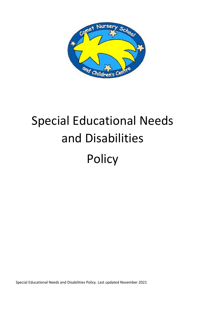

# Special Educational Needs and Disabilities Policy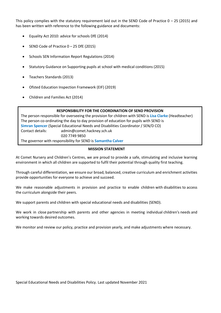This policy complies with the statutory requirement laid out in the SEND Code of Practice  $0 - 25$  (2015) and has been written with reference to the following guidance and documents:

- Equality Act 2010: advice for schools DfE (2014)
- SEND Code of Practice 0 25 DfE (2015)
- Schools SEN Information Report Regulations (2014)
- Statutory Guidance on Supporting pupils at school with medical conditions (2015)
- Teachers Standards (2013)
- Ofsted Education Inspection Framework (EIF) (2019)
- Children and Families Act (2014)

#### **RESPONSIBILITY FOR THE COORDINATION OF SEND PROVISION**

The person responsible for overseeing the provision for children with SEND is **Lisa Clarke** (Headteacher) The person co-ordinating the day to day provision of education for pupils with SEND is **Simran Spencer** (Special Educational Needs and Disabilities Coordinator / SEN/D CO) Contact details: admi[n@comet.hackney.sch.uk](mailto:vcolbourne@comet.hackney.sch.uk) 020 7749 9850 The governor with responsibility for SEND is **Samantha Calver** 

#### **MISSION STATEMENT**

At Comet Nursery and Children's Centres, we are proud to provide a safe, stimulating and inclusive learning environment in which all children are supported to fulfil their potential through quality first teaching.

Through careful differentiation, we ensure our broad, balanced, creative curriculum and enrichment activities provide opportunities for everyone to achieve and succeed.

We make reasonable adjustments in provision and practice to enable children with disabilities to access the curriculum alongside their peers.

We support parents and children with special educational needs and disabilities (SEND).

We work in close partnership with parents and other agencies in meeting individual children's needs and working towards desired outcomes.

We monitor and review our policy, practice and provision yearly, and make adjustments where necessary.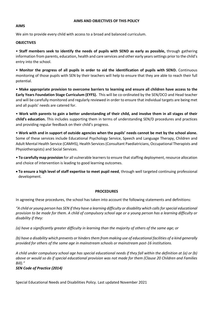#### **AIMS AND OBJECTIVES OF THIS POLICY**

## **AIMS**

We aim to provide every child with access to a broad and balanced curriculum.

## **OBJECTIVES**

• **Staff members seek to identify the needs of pupils with SEND as early as possible,** through gathering information from parents, education, health and care services and other early years settings prior to the child's entry into the school.

• **Monitor the progress of all pupils in order to aid the identification of pupils with SEND.** Continuous monitoring of those pupils with SEN by their teachers will help to ensure that they are able to reach their full potential.

• **Make appropriate provision to overcome barriers to learning and ensure all children have access to the Early Years Foundation Stage Curriculum (EYFS).** This will be co-ordinated by the SEN/DCO and Head teacher and will be carefully monitored and regularly reviewed in order to ensure that individual targets are being met and all pupils' needs are catered for.

• **Work with parents to gain a better understanding of their child, and involve them in all stages of their child's education.** This includes supporting them in terms of understanding SEN/D procedures and practices and providing regular feedback on their child's progress.

• **Work with and in support of outside agencies when the pupils' needs cannot be met by the school alone.**  Some of these services include Educational Psychology Service, Speech and Language Therapy, Children and Adult Mental Health Service (CAMHS), Health Services (Consultant Paediatricians, Occupational Therapists and Physiotherapists) and Social Services.

• **To carefully map provision** for all vulnerable learners to ensure that staffing deployment, resource allocation and choice of intervention is leading to good learning outcomes.

 **To ensure a high level of staff expertise to meet pupil need**, through well targeted continuing professional development.

#### **PROCEDURES**

In agreeing these procedures, the school has taken into account the following statements and definitions:

*"A child or young person has SEN if they have a learning difficulty or disability which calls for special educational provision to be made for them. A child of compulsory school age or a young person has a learning difficulty or disability if they:*

*(a) have a significantly greater difficulty in learning than the majority of others of the same age; or*

*(b) have a disability which prevents or hinders them from making use of educational facilities of a kind generally provided for others of the same age in mainstream schools or mainstream post-16 institutions.*

*A child under compulsory school age has special educational needs if they fall within the definition at (a) or (b) above or would so do if special educational provision was not made for them (Clause 20 Children and Families Bill)."*

# *SEN Code of Practice (2014)*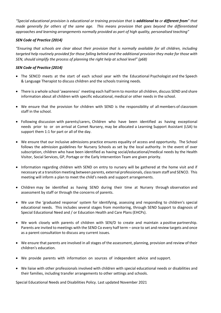*"Special educational provision is educational or training provision that is additional to or different from" that made generally for others of the same age. This means provision that goes beyond the differentiated approaches and learning arrangements normally provided as part of high quality, personalised teaching"* 

## *SEN Code of Practice (2014)*

*"Ensuring that schools are clear about their provision that is normally available for all children, including targeted help routinely provided for those falling behind and the additional provision they make for those with SEN, should simplify the process of planning the right help at school level" (p68)*

## *SEN Code of Practice (2014)*

- The SENCO meets at the start of each school year with the Educational Psychologist and the Speech & Language Therapist to discuss children and the schools training needs.
- There is a whole school 'awareness' meeting each half term to monitor all children, discuss SEND and share information about all children with specific educational, medical or other needs in the school.
- We ensure that the provision for children with SEND is the responsibility of all members of classroom staff in the school.
- Following discussion with parents/carers, Children who have been identified as having exceptional needs prior to or on arrival at Comet Nursery, may be allocated a Learning Support Assistant (LSA) to support them 1:1 for part or all of the day.
- We ensure that our inclusive admissions practice ensures equality of access and opportunity. The School follows the admission guidelines for Nursery Schools as set by the local authority. In the event of over subscription, children who have been identified as having social/educational/medical needs by the Health Visitor, Social Services, GP, Portage or the Early Intervention Team are given priority.
- Information regarding children with SEND on entry to nursery will be gathered at the home visit and if necessary at a transition meeting between parents, external professionals, class team staff and SENCO. This meeting will inform a plan to meet the child's needs and support arrangements.
- Children may be identified as having SEND during their time at Nursery through observation and assessment by staff or through the concerns of parents.
- We use the 'graduated response' system for identifying, assessing and responding to children's special educational needs. This includes several stages from monitoring, through SEND Support to diagnosis of Special Educational Need and / or Education Health and Care Plans (EHCPs).
- We work closely with parents of children with SEN/D to create and maintain a positive partnership. Parents are invited to meetings with the SEND Co every half term – once to set and review targets and once as a parent consultation to discuss any current issues.
- We ensure that parents are involved in all stages of the assessment, planning, provision and review of their children's education.
- We provide parents with information on sources of independent advice and support.
- We liaise with other professionals involved with children with special educational needs or disabilities and their families, including transfer arrangements to other settings and schools.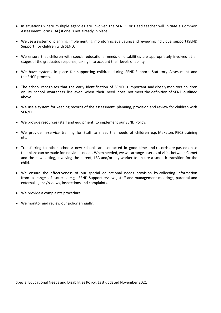- In situations where multiple agencies are involved the SENCO or Head teacher will initiate a Common Assessment Form (CAF) if one is not already in place.
- We use a system of planning, implementing, monitoring, evaluating and reviewing individual support (SEND Support) for children with SEND.
- We ensure that children with special educational needs or disabilities are appropriately involved at all stages of the graduated response, taking into account their levels of ability.
- We have systems in place for supporting children during SEND Support, Statutory Assessment and the EHCP process.
- The school recognises that the early identification of SEND is important and closely monitors children on its school awareness list even when their need does not meet the definition of SEND outlined above.
- We use a system for keeping records of the assessment, planning, provision and review for children with SEN/D.
- We provide resources (staff and equipment) to implement our SEND Policy.
- We provide in-service training for Staff to meet the needs of children e.g. Makaton, PECS training etc.
- Transferring to other schools: new schools are contacted in good time and records are passed on so that plans can be made for individual needs. When needed, we will arrange a series of visits between Comet and the new setting, involving the parent, LSA and/or key worker to ensure a smooth transition for the child.
- We ensure the effectiveness of our special educational needs provision by collecting information from a range of sources e.g. SEND Support reviews, staff and management meetings, parental and external agency's views, inspections and complaints.
- We provide a complaints procedure.
- We monitor and review our policy annually.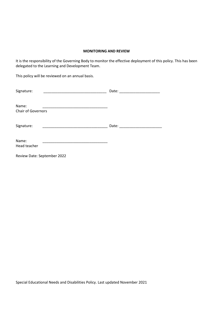## **MONITORING AND REVIEW**

It is the responsibility of the Governing Body to monitor the effective deployment of this policy. This has been delegated to the Learning and Development Team.

This policy will be reviewed on an annual basis.

| Signature:                         | Date: |
|------------------------------------|-------|
| Name:<br><b>Chair of Governors</b> |       |
| Signature:                         | Date: |
| Name:<br>Head teacher              |       |
| Review Date: September 2022        |       |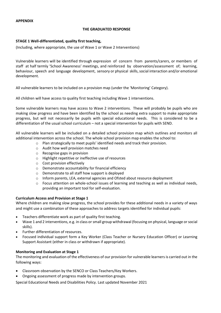#### **THE GRADUATED RESPONSE**

## **STAGE 1 Well-differentiated, quality first teaching,**

(Including, where appropriate, the use of Wave 1 or Wave 2 Interventions)

Vulnerable learners will be identified through expression of concern from parents/carers, or members of staff at half termly 'School Awareness' meetings, and reinforced by observation/assessment of; learning, behaviour, speech and language development, sensory or physical skills, social interaction and/or emotional development.

All vulnerable learners to be included on a provision map (under the 'Monitoring' Category).

All children will have access to quality first teaching including Wave 1 interventions.

Some vulnerable learners may have access to Wave 2 interventions. These will probably be pupils who are making slow progress and have been identified by the school as needing extra support to make appropriate progress, but will not necessarily be pupils with special educational needs. This is considered to be a differentiation of the usual school curriculum – not a special intervention for pupils with SEND.

All vulnerable learners will be included on a detailed school provision map which outlines and monitors all additional intervention across the school. The whole school provision map enables the school to:

- o Plan strategically to meet pupils' identified needs and track their provision.
- o Audit how well provision matches need
- o Recognise gaps in provision
- o Highlight repetitive or ineffective use of resources
- o Cost provision effectively
- o Demonstrate accountability for financial efficiency
- o Demonstrate to all staff how support is deployed
- o Inform parents, LEA, external agencies and Ofsted about resource deployment
- $\circ$  Focus attention on whole-school issues of learning and teaching as well as individual needs, providing an important tool for self-evaluation.

#### **Curriculum Access and Provision at Stage 1**

Where children are making slow progress, the school provides for these additional needs in a variety of ways and might use a combination of these approaches to address targets identified for individual pupils:

- Teachers differentiate work as part of quality first teaching.
- Wave 1 and 2 interventions, e.g. in class or small group withdrawal (focusing on physical, language or social skills).
- Further differentiation of resources.
- Focused individual support form a Key Worker (Class Teacher or Nursery Education Officer) or Learning Support Assistant (either in class or withdrawn if appropriate).

#### **Monitoring and Evaluation at Stage 1**

The monitoring and evaluation of the effectiveness of our provision for vulnerable learners is carried out in the following ways:

- Classroom observation by the SENCO or Class Teachers/Key Workers.
- Ongoing assessment of progress made by intervention groups.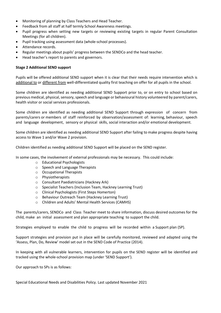- Monitoring of planning by Class Teachers and Head Teacher.
- Feedback from all staff at half termly School Awareness meetings.
- Pupil progress when setting new targets or reviewing existing targets in regular Parent Consultation Meetings (for all children).
- Pupil tracking using assessment data (whole-school processes).
- Attendance records.
- Regular meetings about pupils' progress between the SENDCo and the head teacher.
- Head teacher's report to parents and governors.

#### **Stage 2 Additional SEND support**

Pupils will be offered additional SEND support when it is clear that their needs require intervention which is additional to or different from well-differentiated quality first teaching on offer for all pupils in the school.

Some children are identified as needing additional SEND Support prior to, or on entry to school based on previous medical, physical, sensory, speech and language or behavioural history volunteered by parent/carers, health visitor or social services professionals.

Some children are identified as needing additional SEND Support through expression of concern from parents/carers or members of staff reinforced by observation/assessment of: learning, behaviour, speech and language development, sensory or physical skills, social interaction and/or emotional development.

Some children are identified as needing additional SEND Support after failing to make progress despite having access to Wave 1 and/or Wave 2 provision.

Children identified as needing additional SEND Support will be placed on the SEND register.

In some cases, the involvement of external professionals may be necessary. This could include:

- o Educational Psychologists
- o Speech and Language Therapists
- o Occupational Therapists
- o Physiotherapists
- o Consultant Paediatricians (Hackney Ark)
- o Specialist Teachers (Inclusion Team, Hackney Learning Trust)
- o Clinical Psychologists (First Steps Homerton)
- o Behaviour Outreach Team (Hackney Learning Trust)
- o Children and Adults' Mental Health Services (CAMHS)

The parents/carers, SENDCo and Class Teacher meet to share information, discuss desired outcomes for the child, make an initial assessment and plan appropriate teaching to support the child.

Strategies employed to enable the child to progress will be recorded within a Support plan (SP).

Support strategies and provision put in place will be carefully monitored, reviewed and adapted using the 'Assess, Plan, Do, Review' model set out in the SEND Code of Practice (2014).

In keeping with all vulnerable learners, intervention for pupils on the SEND register will be identified and tracked using the whole-school provision map (under 'SEND Support').

Our approach to SPs is as follows: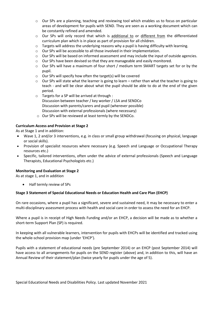- $\circ$  Our SPs are a planning, teaching and reviewing tool which enables us to focus on particular areas of development for pupils with SEND. They are seen as a working document which can be constantly refined and amended.
- o Our SPs will only record that which is additional to or different from the differentiated curriculum plan which is in place as part of provision for all children.
- o Targets will address the underlying reasons why a pupil is having difficulty with learning.
- o Our SPs will be accessible to all those involved in their implementation.
- $\circ$  Our SPs will be based on informed assessment and may include the input of outside agencies.
- o Our SPs have been devised so that they are manageable and easily monitored.
- o Our SPs will have a maximum of four short / medium term SMART targets set for or by the pupil.
- $\circ$  Our SPs will specify how often the target(s) will be covered
- $\circ$  Our SPs will state what the learner is going to learn rather than what the teacher is going to teach - and will be clear about what the pupil should be able to do at the end of the given period.
- o Targets for a SP will be arrived at through : Discussion between teacher / key worker / LSA and SENDCo Discussion with parents/carers and pupil (wherever possible) Discussion with external professionals (where necessary)
- o Our SPs will be reviewed at least termly by the SENDCo.

# **Curriculum Access and Provision at Stage 2**

As at Stage 1 and in addition:

- Wave 1, 2 and/or 3 interventions, e.g. in class or small group withdrawal (focusing on physical, language or social skills).
- Provision of specialist resources where necessary (e.g. Speech and Language or Occupational Therapy resources etc.)
- Specific, tailored interventions, often under the advice of external professionals (Speech and Language Therapists, Educational Psychologists etc.)

#### **Monitoring and Evaluation at Stage 2**

As at stage 1, and in addition

Half termly review of SPs

# **Stage 3 Statement of Special Educational Needs or Education Health and Care Plan (EHCP)**

On rare occasions, where a pupil has a significant, severe and sustained need, it may be necessary to enter a multi-disciplinary assessment process with health and social care in order to assess the need for an EHCP.

Where a pupil is in receipt of High Needs Funding and/or an EHCP, a decision will be made as to whether a short-term Support Plan (SP) is required.

In keeping with all vulnerable learners, intervention for pupils with EHCPs will be identified and tracked using the whole-school provision map (under 'EHCP').

Pupils with a statement of educational needs (pre September 2014) or an EHCP (post September 2014) will have access to all arrangements for pupils on the SEND register (above) and, in addition to this, will have an Annual Review of their statement/plan (twice yearly for pupils under the age of 5).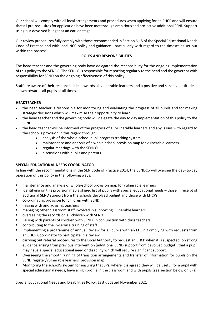Our school will comply with all local arrangements and procedures when applying for an EHCP and will ensure that all pre-requisites for application have been met through ambitious and pro-active additional SEND Support using our devolved budget at an earlier stage.

Our review procedures fully comply with those recommended in Section 6.15 of the Special Educational Needs Code of Practice and with local NCC policy and guidance - particularly with regard to the timescales set out within the process.

# **ROLES AND RESPONSIBILITIES**

The head teacher and the governing body have delegated the responsibility for the ongoing implementation of this policy to the SENCO. The SENCO is responsible for reporting regularly to the head and the governor with responsibility for SEND on the ongoing effectiveness of this policy.

Staff are aware of their responsibilities towards all vulnerable learners and a positive and sensitive attitude is shown towards all pupils at all times.

## **HEADTEACHER**

- the head teacher is responsible for monitoring and evaluating the progress of all pupils and for making strategic decisions which will maximise their opportunity to learn
- the head teacher and the governing body will delegate the day to day implementation of this policy to the **SENDCO**
- the head teacher will be informed of the progress of all vulnerable learners and any issues with regard to the school's provision in this regard through:
	- analysis of the whole-school pupil progress tracking system
	- maintenance and analysis of a whole-school provision map for vulnerable learners
	- regular meetings with the SENCO
	- discussions with pupils and parents

# **SPECIAL EDUCATIONAL NEEDS COORDINATOR**

In line with the recommendations in the SEN Code of Practice 2014, the SENDCo will oversee the day- to-day operation of this policy in the following ways:

- maintenance and analysis of whole-school provision map for vulnerable learners
- identifying on this provision map a staged list of pupils with special educational needs those in receipt of additional SEND support from the schools devolved budget and those with EHCPs
- co-ordinating provision for children with SEND
- liaising with and advising teachers
- **EXECT** managing other classroom staff involved in supporting vulnerable learners
- overseeing the records on all children with SEND
- **EXTE:** liaising with parents of children with SEND, in conjunction with class teachers
- **EXECONTRED CONTRET CONTINUITY** contributing to the in-service training of staff
- **IMPLEM** 15 a programme of Annual Review for all pupils with an EHCP. Complying with requests from an EHCP Coordinator to participate in a review.
- carrying out referral procedures to the Local Authority to request an EHCP when it is suspected, on strong evidence arising from previous intervention (additional SEND support from devolved budget), that a pupil may have a special educational need or disability which will require significant support.
- Overseeing the smooth running of transition arrangements and transfer of information for pupils on the SEND register/vulnerable learners' provision map.
- Monitoring the school's system for ensuring that SPs, where it is agreed they will be useful for a pupil with special educational needs, have a high profile in the classroom and with pupils (see section below on SPs).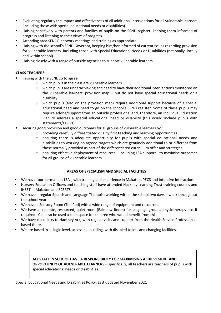- Evaluating regularly the impact and effectiveness of all additional interventions for all vulnerable learners (including those with special educational needs or disabilities).
- Liaising sensitively with parents and families of pupils on the SEND register, keeping them informed of progress and listening to their views of progress.
- Attending area SENCO network meetings and training as appropriate.
- Liaising with the school's SEND Governor, keeping him/her informed of current issues regarding provision for vulnerable learners, including those with Special Educational Needs or Disabilities (nationally, locally and within school).
- Liaising closely with a range of outside agencies to support vulnerable learners.

# **CLASS TEACHERS**

- liaising with the SENDCo to agree :
	- o which pupils in the class are vulnerable learners
	- $\circ$  which pupils are underachieving and need to have their additional interventions monitored on the vulnerable learners' provision map  $-$  but do not have special educational needs or a disability
	- o which pupils (also on the provision map) require additional support because of a special educational need and need to go on the school's SEND register. Some of these pupils may require advice/support from an outside professional and, therefore, an Individual Education Plan to address a special educational need or disability (this would include pupils with statements/EHCPs)
- securing good provision and good outcomes for all groups of vulnerable learners by :
	- $\circ$  providing carefully differentiated quality first teaching and learning opportunities
	- o ensuring there is adequate opportunity for pupils with special educational needs and disabilities to working on agreed targets which are genuinely additional to or different from those normally provided as part of the differentiated curriculum offer and strategies*.*
	- o ensuring effective deployment of resources including LSA support to maximise outcomes for all groups of vulnerable learners.

# **AREAS OF SPECIALISM AND SPECIAL FACILITIES**

- We have four permanent LSAs, with training and experience in Makaton, PECS and Intensive Interaction.
- Nursery Education Officers and teaching staff have attended Hackney Learning Trust training courses and INSET in Makaton and SCERTS.
- We have a regular Speech and Language Therapist working within the school two days a week throughout the school year.
- We have a Sensory Room (The Pod) with a wide range of equipment and resources.
- We have a separate, resourced, quiet room (Rainbow Room) for language groups, physiotherapy etc. if required. Can also be used a calm space for children who would benefit from this.
- We have close links to Hackney Ark, with regular visits and support from the Health Service Professionals based there.
- We are based in a single level, accessible building, with disabled toilets and changing facilities.

# **ALL STAFF IN SCHOOL HAVE A RESPONSIBILITY FOR MAXIMISING ACHIEVEMENT AND OPPORTUNITY OF VULNERABLE LEARNERS** – specifically, all teachers are teachers of pupils with special educational needs or disabilities.